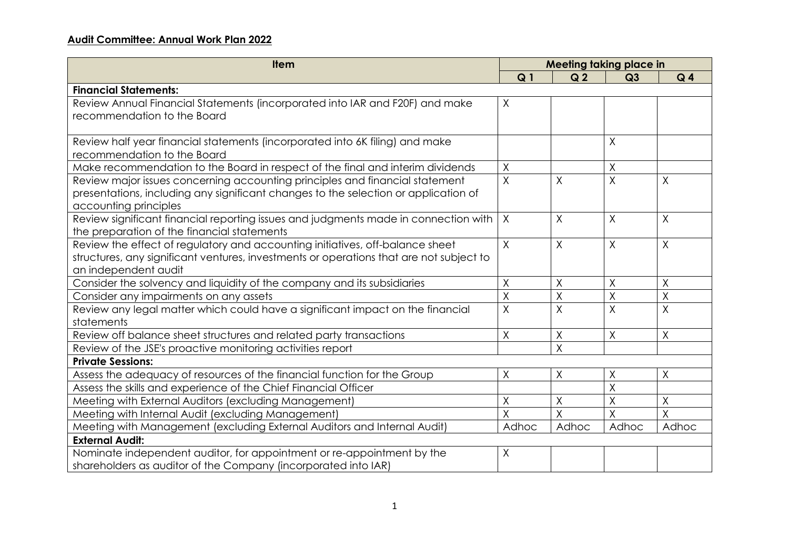## **Audit Committee: Annual Work Plan 2022**

| <b>Item</b>                                                                             | <b>Meeting taking place in</b> |                         |                |                         |
|-----------------------------------------------------------------------------------------|--------------------------------|-------------------------|----------------|-------------------------|
|                                                                                         | Q <sub>1</sub>                 | Q <sub>2</sub>          | Q3             | Q <sub>4</sub>          |
| <b>Financial Statements:</b>                                                            |                                |                         |                |                         |
| Review Annual Financial Statements (incorporated into IAR and F20F) and make            | $\chi$                         |                         |                |                         |
| recommendation to the Board                                                             |                                |                         |                |                         |
|                                                                                         |                                |                         |                |                         |
| Review half year financial statements (incorporated into 6K filing) and make            |                                |                         | X              |                         |
| recommendation to the Board                                                             |                                |                         |                |                         |
| Make recommendation to the Board in respect of the final and interim dividends          | X                              |                         | Χ              |                         |
| Review major issues concerning accounting principles and financial statement            | $\overline{X}$                 | X                       | Χ              | X                       |
| presentations, including any significant changes to the selection or application of     |                                |                         |                |                         |
| accounting principles                                                                   |                                |                         |                |                         |
| Review significant financial reporting issues and judgments made in connection with     | $\mathsf{X}$                   | Χ                       | Χ              | χ                       |
| the preparation of the financial statements                                             |                                |                         |                |                         |
| Review the effect of regulatory and accounting initiatives, off-balance sheet           | $\mathsf{X}$                   | $\sf X$                 | $\mathsf{X}$   | $\times$                |
| structures, any significant ventures, investments or operations that are not subject to |                                |                         |                |                         |
| an independent audit                                                                    |                                |                         |                |                         |
| Consider the solvency and liquidity of the company and its subsidiaries                 | $\sf X$                        | $\sf X$                 | X              | $\overline{X}$          |
| Consider any impairments on any assets                                                  | Χ                              | Χ                       | Χ              | X                       |
| Review any legal matter which could have a significant impact on the financial          | X                              | $\overline{\mathsf{X}}$ | $\overline{X}$ | $\overline{\mathsf{X}}$ |
| statements                                                                              |                                |                         |                |                         |
| Review off balance sheet structures and related party transactions                      | Χ                              | $\mathsf X$             | Χ              | Χ                       |
| Review of the JSE's proactive monitoring activities report                              |                                | $\overline{X}$          |                |                         |
| <b>Private Sessions:</b>                                                                |                                |                         |                |                         |
| Assess the adequacy of resources of the financial function for the Group                | X                              | $\sf X$                 | Χ              | χ                       |
| Assess the skills and experience of the Chief Financial Officer                         |                                |                         | X              |                         |
| Meeting with External Auditors (excluding Management)                                   | Χ                              | Χ                       | Χ              | X                       |
| Meeting with Internal Audit (excluding Management)                                      | X                              | X                       | Χ              | $\overline{X}$          |
| Meeting with Management (excluding External Auditors and Internal Audit)                | Adhoc                          | Adhoc                   | Adhoc          | Adhoc                   |
| <b>External Audit:</b>                                                                  |                                |                         |                |                         |
| Nominate independent auditor, for appointment or re-appointment by the                  | Χ                              |                         |                |                         |
| shareholders as auditor of the Company (incorporated into IAR)                          |                                |                         |                |                         |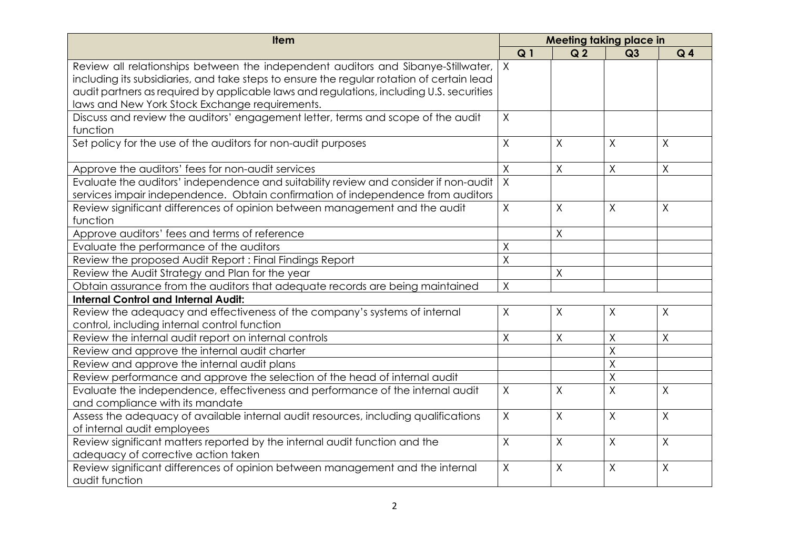| <b>Item</b>                                                                               |                | <b>Meeting taking place in</b> |                |                |  |
|-------------------------------------------------------------------------------------------|----------------|--------------------------------|----------------|----------------|--|
|                                                                                           | Q <sub>1</sub> | Q <sub>2</sub>                 | Q3             | Q <sub>4</sub> |  |
| Review all relationships between the independent auditors and Sibanye-Stillwater,         | $\times$       |                                |                |                |  |
| including its subsidiaries, and take steps to ensure the regular rotation of certain lead |                |                                |                |                |  |
| audit partners as required by applicable laws and regulations, including U.S. securities  |                |                                |                |                |  |
| laws and New York Stock Exchange requirements.                                            |                |                                |                |                |  |
| Discuss and review the auditors' engagement letter, terms and scope of the audit          | $\mathsf{X}$   |                                |                |                |  |
| function                                                                                  |                |                                |                |                |  |
| Set policy for the use of the auditors for non-audit purposes                             | $\sf X$        | X                              | X              | χ              |  |
| Approve the auditors' fees for non-audit services                                         | Χ              | $\sf X$                        | $\mathsf X$    | X              |  |
| Evaluate the auditors' independence and suitability review and consider if non-audit      | $\overline{X}$ |                                |                |                |  |
| services impair independence. Obtain confirmation of independence from auditors           |                |                                |                |                |  |
| Review significant differences of opinion between management and the audit                | $\mathsf{X}$   | $\sf X$                        | $\sf X$        | X              |  |
| function                                                                                  |                |                                |                |                |  |
| Approve auditors' fees and terms of reference                                             |                | $\mathsf X$                    |                |                |  |
| Evaluate the performance of the auditors                                                  | Χ              |                                |                |                |  |
| Review the proposed Audit Report: Final Findings Report                                   | X              |                                |                |                |  |
| Review the Audit Strategy and Plan for the year                                           |                | X                              |                |                |  |
| Obtain assurance from the auditors that adequate records are being maintained             | Χ              |                                |                |                |  |
| <b>Internal Control and Internal Audit:</b>                                               |                |                                |                |                |  |
| Review the adequacy and effectiveness of the company's systems of internal                | $\mathsf X$    | X                              | Χ              | Χ              |  |
| control, including internal control function                                              |                |                                |                |                |  |
| Review the internal audit report on internal controls                                     | $\mathsf{X}$   | Χ                              | $\sf X$        | X              |  |
| Review and approve the internal audit charter                                             |                |                                | X              |                |  |
| Review and approve the internal audit plans                                               |                |                                | $\sf X$        |                |  |
| Review performance and approve the selection of the head of internal audit                |                |                                | $\sf X$        |                |  |
| Evaluate the independence, effectiveness and performance of the internal audit            | $\sf X$        | $\sf X$                        | $\overline{X}$ | X              |  |
| and compliance with its mandate                                                           |                |                                |                |                |  |
| Assess the adequacy of available internal audit resources, including qualifications       | $\mathsf{X}$   | X                              | $\sf X$        | X              |  |
| of internal audit employees                                                               |                |                                |                |                |  |
| Review significant matters reported by the internal audit function and the                | $\mathsf{X}$   | $\mathsf{X}$                   | $\mathsf{X}$   | χ              |  |
| adequacy of corrective action taken                                                       |                |                                |                |                |  |
| Review significant differences of opinion between management and the internal             | $\sf X$        | $\sf X$                        | $\sf X$        | X              |  |
| audit function                                                                            |                |                                |                |                |  |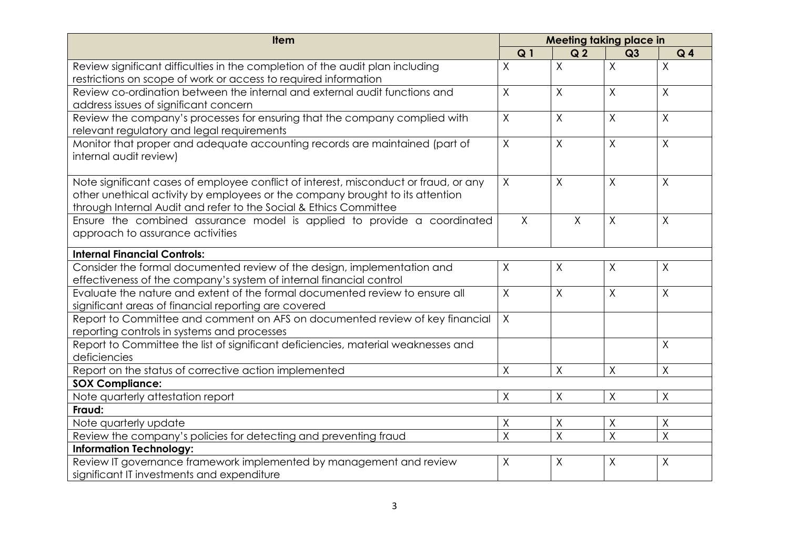| <b>Item</b>                                                                          |                | Meeting taking place in |              |                |
|--------------------------------------------------------------------------------------|----------------|-------------------------|--------------|----------------|
|                                                                                      | Q <sub>1</sub> | Q <sub>2</sub>          | Q3           | Q <sub>4</sub> |
| Review significant difficulties in the completion of the audit plan including        | $\overline{X}$ | $\sf X$                 | $\sf X$      | $\overline{X}$ |
| restrictions on scope of work or access to required information                      |                |                         |              |                |
| Review co-ordination between the internal and external audit functions and           | $\mathsf{X}$   | $\mathsf{X}$            | $\mathsf{X}$ | χ              |
| address issues of significant concern                                                |                |                         |              |                |
| Review the company's processes for ensuring that the company complied with           | $\sf X$        | $\sf X$                 | $\sf X$      | $\sf X$        |
| relevant regulatory and legal requirements                                           |                |                         |              |                |
| Monitor that proper and adequate accounting records are maintained (part of          | $\sf X$        | $\sf X$                 | $\mathsf{X}$ | $\sf X$        |
| internal audit review)                                                               |                |                         |              |                |
|                                                                                      |                |                         |              |                |
| Note significant cases of employee conflict of interest, misconduct or fraud, or any | X              | $\sf X$                 | $\sf X$      | $\overline{X}$ |
| other unethical activity by employees or the company brought to its attention        |                |                         |              |                |
| through Internal Audit and refer to the Social & Ethics Committee                    |                |                         |              |                |
| Ensure the combined assurance model is applied to provide a coordinated              | $\chi$         | $\sf X$                 | $\sf X$      | Χ              |
| approach to assurance activities                                                     |                |                         |              |                |
| <b>Internal Financial Controls:</b>                                                  |                |                         |              |                |
| Consider the formal documented review of the design, implementation and              | X              | $\sf X$                 | X            | X              |
| effectiveness of the company's system of internal financial control                  |                |                         |              |                |
| Evaluate the nature and extent of the formal documented review to ensure all         | X              | $\sf X$                 | $\sf X$      | X.             |
| significant areas of financial reporting are covered                                 |                |                         |              |                |
| Report to Committee and comment on AFS on documented review of key financial         | $\sf X$        |                         |              |                |
| reporting controls in systems and processes                                          |                |                         |              |                |
| Report to Committee the list of significant deficiencies, material weaknesses and    |                |                         |              | $\overline{X}$ |
| deficiencies                                                                         |                |                         |              |                |
| Report on the status of corrective action implemented                                | $\sf X$        | $\sf X$                 | $\sf X$      | $\sf X$        |
| <b>SOX Compliance:</b>                                                               |                |                         |              |                |
| Note quarterly attestation report                                                    | $\sf X$        | $\sf X$                 | $\sf X$      | Χ              |
| Fraud:                                                                               |                |                         |              |                |
| Note quarterly update                                                                | Χ              | $\sf X$                 | $\sf X$      | X              |
| Review the company's policies for detecting and preventing fraud                     | $\sf X$        | $\sf X$                 | $\sf X$      | X              |
| <b>Information Technology:</b>                                                       |                |                         |              |                |
| Review IT governance framework implemented by management and review                  | X              | X                       | X            | χ              |
| significant IT investments and expenditure                                           |                |                         |              |                |